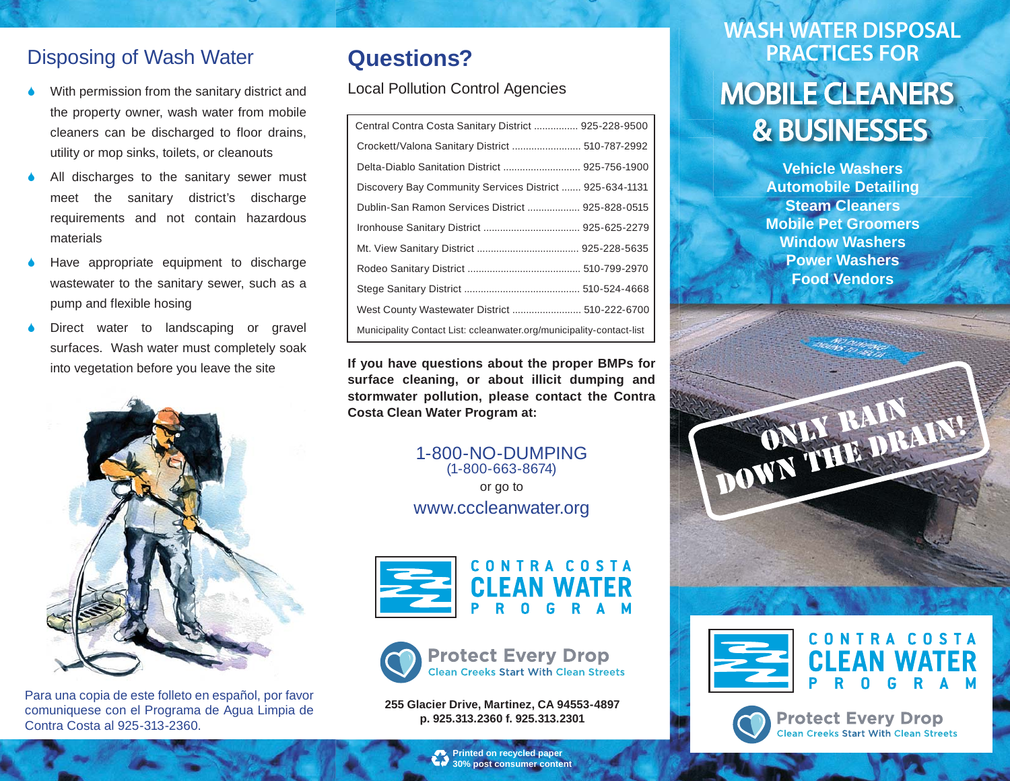#### Disposing of Wash Water

- With permission from the sanitary district and the property owner, wash water from mobile cleaners can be discharged to floor drains, utility or mop sinks, toilets, or cleanouts
- All discharges to the sanitary sewer must meet the sanitary district's discharge requirements and not contain hazardous materials
- Have appropriate equipment to discharge wastewater to the sanitary sewer, such as a pump and flexible hosing
- Direct water to landscaping or gravel surfaces. Wash water must completely soak into vegetation before you leave the site



Para una copia de este folleto en español, por favor comuniquese con el Programa de Agua Limpia de Contra Costa al 925-313-2360.

# **Questions?**

Local Pollution Control Agencies

| Central Contra Costa Sanitary District  925-228-9500                 |
|----------------------------------------------------------------------|
| Crockett/Valona Sanitary District  510-787-2992                      |
| Delta-Diablo Sanitation District  925-756-1900                       |
| Discovery Bay Community Services District  925-634-1131              |
| Dublin-San Ramon Services District  925-828-0515                     |
|                                                                      |
|                                                                      |
|                                                                      |
|                                                                      |
| West County Wastewater District  510-222-6700                        |
| Municipality Contact List: ccleanwater.org/municipality-contact-list |

**If you have questions about the proper BMPs for surface cleaning, or about illicit dumping and stormwater pollution, please contact the Contra Costa Clean Water Program at:**

#### 1-800-NO-DUMPING(1-800-663-8674) or go to

www.cccleanwater.org





**255 Glacier Drive, Martinez, CA 94553-4897 p. 925.313.2360 f. 925.313.2301**

# **MOBILE SURFACE SIDES MOBILE CLEANERS WASH WATER DISPOSAL PRACTICES FOR**

**Vehicle WashersAutomobile Detailing Steam CleanersMobile Pet GroomersWindow WashersPower WashersFood Vendors**







**Protect Every Drop Clean Creeks Start With Clean Streets** 

**Printed on recycled paper 30% post consumer content**